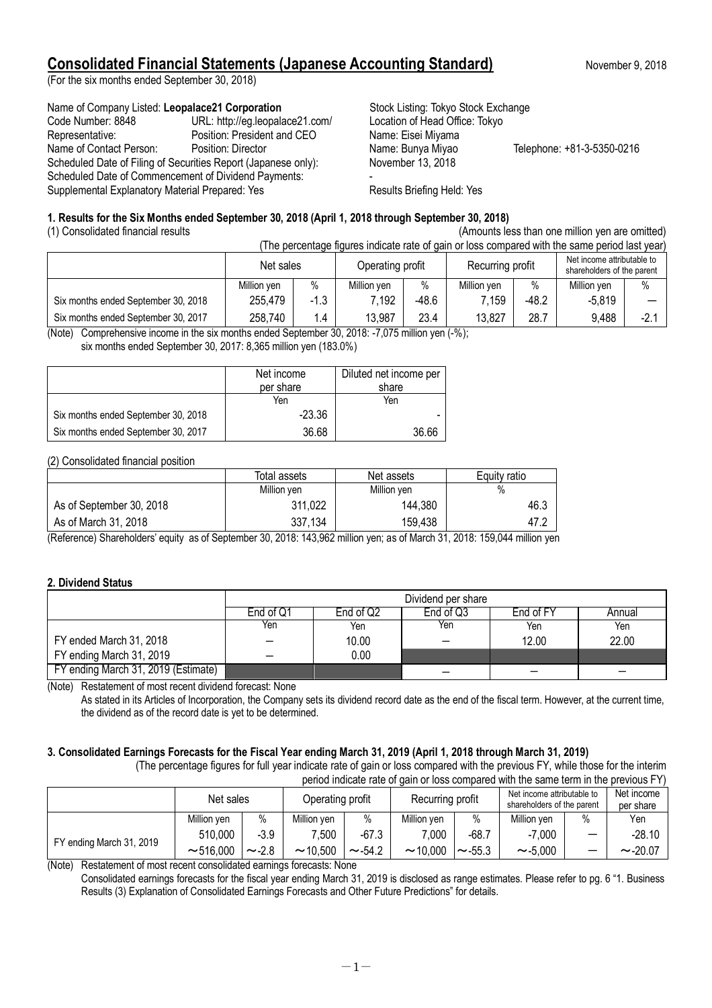# **Consolidated Financial Statements (Japanese Accounting Standard)** November 9, 2018

(For the six months ended September 30, 2018)

### Name of Company Listed: Leopalace21 Corporation **Stock Listing: Tokyo Stock Exchange**

| $\sim$                          | $O(O)$ and $O(n)$ and $O(n)$ and $O(n)$ and $O(n)$                                                                                                                        |                            |
|---------------------------------|---------------------------------------------------------------------------------------------------------------------------------------------------------------------------|----------------------------|
| URL: http://eg.leopalace21.com/ | Location of Head Office: Tokyo                                                                                                                                            |                            |
| Position: President and CEO     | Name: Eisei Miyama                                                                                                                                                        |                            |
| Position: Director              | Name: Bunya Miyao                                                                                                                                                         | Telephone: +81-3-5350-0216 |
|                                 | November 13, 2018                                                                                                                                                         |                            |
|                                 |                                                                                                                                                                           |                            |
|                                 | Results Briefing Held: Yes                                                                                                                                                |                            |
|                                 | Scheduled Date of Filing of Securities Report (Japanese only):<br>Scheduled Date of Commencement of Dividend Payments:<br>Supplemental Explanatory Material Prepared: Yes |                            |

### **1. Results for the Six Months ended September 30, 2018 (April 1, 2018 through September 30, 2018)**

(1) Consolidated financial results (Amounts less than one million yen are omitted)

| (The percentage figures indicate rate of gain or loss compared with the same period last year) |                               |        |                  |       |                                                          |         |             |        |
|------------------------------------------------------------------------------------------------|-------------------------------|--------|------------------|-------|----------------------------------------------------------|---------|-------------|--------|
|                                                                                                | Operating profit<br>Net sales |        | Recurring profit |       | Net income attributable to<br>shareholders of the parent |         |             |        |
|                                                                                                | Million ven                   | $\%$   | Million ven      | $\%$  | Million ven                                              | %       | Million yen | $\%$   |
| Six months ended September 30, 2018                                                            | 255,479                       | $-1.3$ | 7,192            | -48.6 | 7.159                                                    | $-48.2$ | $-5.819$    |        |
| Six months ended September 30, 2017                                                            | 258,740                       | 1.4    | 13,987           | 23.4  | 13,827                                                   | 28.7    | 9,488       | $-2$ . |

(Note) Comprehensive income in the six months ended September 30, 2018: -7,075 million yen (-%);

six months ended September 30, 2017: 8,365 million yen (183.0%)

|                                     | Net income<br>per share | Diluted net income per<br>share |
|-------------------------------------|-------------------------|---------------------------------|
|                                     | Yen                     | Yen                             |
| Six months ended September 30, 2018 | $-23.36$                |                                 |
| Six months ended September 30, 2017 | 36.68                   | 36.66                           |

### (2) Consolidated financial position

|                          | Total assets | Net assets  | Equity ratio |
|--------------------------|--------------|-------------|--------------|
|                          | Million yen  | Million yen | %            |
| As of September 30, 2018 | 311,022      | 144,380     | 46.3         |
| As of March 31, 2018     | 337.134      | 159,438     | 47.2         |

(Reference) Shareholders' equity as of September 30, 2018: 143,962 million yen; as of March 31, 2018: 159,044 million yen

### **2. Dividend Status**

|                                     | Dividend per share |                                               |     |       |       |  |  |  |
|-------------------------------------|--------------------|-----------------------------------------------|-----|-------|-------|--|--|--|
|                                     | End of Q1          | End of Q3<br>End of FY<br>End of Q2<br>Annual |     |       |       |  |  |  |
|                                     | Yen                | Yen                                           | Yen | Yen   | Yen   |  |  |  |
| FY ended March 31, 2018             |                    | 10.00                                         |     | 12.00 | 22.00 |  |  |  |
| FY ending March 31, 2019            |                    | 0.00                                          |     |       |       |  |  |  |
| FY ending March 31, 2019 (Estimate) |                    |                                               |     |       |       |  |  |  |

(Note) Restatement of most recent dividend forecast: None

As stated in its Articles of Incorporation, the Company sets its dividend record date as the end of the fiscal term. However, at the current time, the dividend as of the record date is yet to be determined.

### **3. Consolidated Earnings Forecasts for the Fiscal Year ending March 31, 2019 (April 1, 2018 through March 31, 2019)**

(The percentage figures for full year indicate rate of gain or loss compared with the previous FY, while those for the interim period indicate rate of gain or loss compared with the same term in the previous FY)

| <u>DONOG MURICALO TALO OF GAMTOL TOOD OOMIDATOG MILIT LIIO OAMIO LOMMI LIIO DIOVIOGO F T</u> |             |             |                  |              |                  |              |                                                          |      |                         |
|----------------------------------------------------------------------------------------------|-------------|-------------|------------------|--------------|------------------|--------------|----------------------------------------------------------|------|-------------------------|
|                                                                                              | Net sales   |             | Operating profit |              | Recurring profit |              | Net income attributable to<br>shareholders of the parent |      | Net income<br>per share |
|                                                                                              | Million ven | $\%$        | Million ven      | $\%$         | Million ven      | $\%$         | Million ven                                              | $\%$ | Yen                     |
| FY ending March 31, 2019                                                                     | 510,000     | $-3.9$      | 7,500            | $-67.3$      | 7.000            | $-68.7$      | $-7,000$                                                 |      | $-28.10$                |
|                                                                                              | ~16.000     | $\sim$ -2.8 | $\sim$ 10.500    | $\sim$ -54.2 | $\sim$ 10,000    | $\sim$ -55.3 | $\sim$ -5,000                                            | -    | $\sim$ -20.07           |

(Note) Restatement of most recent consolidated earnings forecasts: None

Consolidated earnings forecasts for the fiscal year ending March 31, 2019 is disclosed as range estimates. Please refer to pg. 6 "1. Business Results (3) Explanation of Consolidated Earnings Forecasts and Other Future Predictions" for details.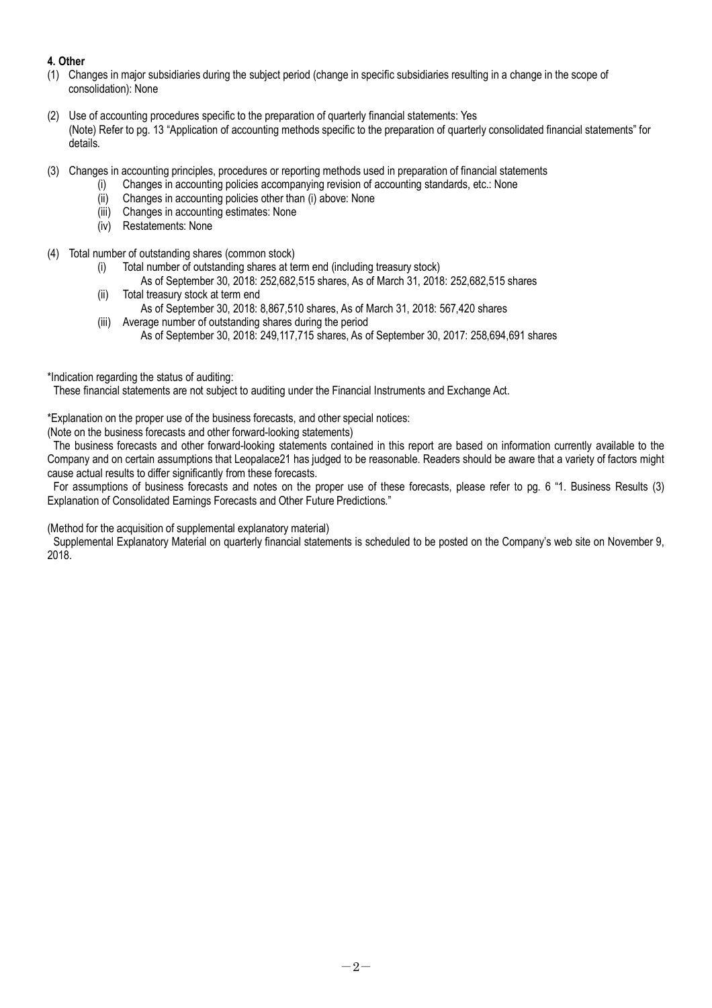## **4. Other**

- (1) Changes in major subsidiaries during the subject period (change in specific subsidiaries resulting in a change in the scope of consolidation): None
- (2) Use of accounting procedures specific to the preparation of quarterly financial statements: Yes (Note) Refer to pg. 13 "Application of accounting methods specific to the preparation of quarterly consolidated financial statements" for details.
- (3) Changes in accounting principles, procedures or reporting methods used in preparation of financial statements
	- (i) Changes in accounting policies accompanying revision of accounting standards, etc.: None
		- (ii) Changes in accounting policies other than (i) above: None
		- (iii) Changes in accounting estimates: None
		- (iv) Restatements: None
- (4) Total number of outstanding shares (common stock)
	- (i) Total number of outstanding shares at term end (including treasury stock)
		- As of September 30, 2018: 252,682,515 shares, As of March 31, 2018: 252,682,515 shares
	- (ii) Total treasury stock at term end As of September 30, 2018: 8,867,510 shares, As of March 31, 2018: 567,420 shares
	- (iii) Average number of outstanding shares during the period As of September 30, 2018: 249,117,715 shares, As of September 30, 2017: 258,694,691 shares
- \*Indication regarding the status of auditing:

These financial statements are not subject to auditing under the Financial Instruments and Exchange Act.

\*Explanation on the proper use of the business forecasts, and other special notices:

(Note on the business forecasts and other forward-looking statements)

The business forecasts and other forward-looking statements contained in this report are based on information currently available to the Company and on certain assumptions that Leopalace21 has judged to be reasonable. Readers should be aware that a variety of factors might cause actual results to differ significantly from these forecasts.

For assumptions of business forecasts and notes on the proper use of these forecasts, please refer to pg. 6 "1. Business Results (3) Explanation of Consolidated Earnings Forecasts and Other Future Predictions."

(Method for the acquisition of supplemental explanatory material)

Supplemental Explanatory Material on quarterly financial statements is scheduled to be posted on the Company's web site on November 9, 2018.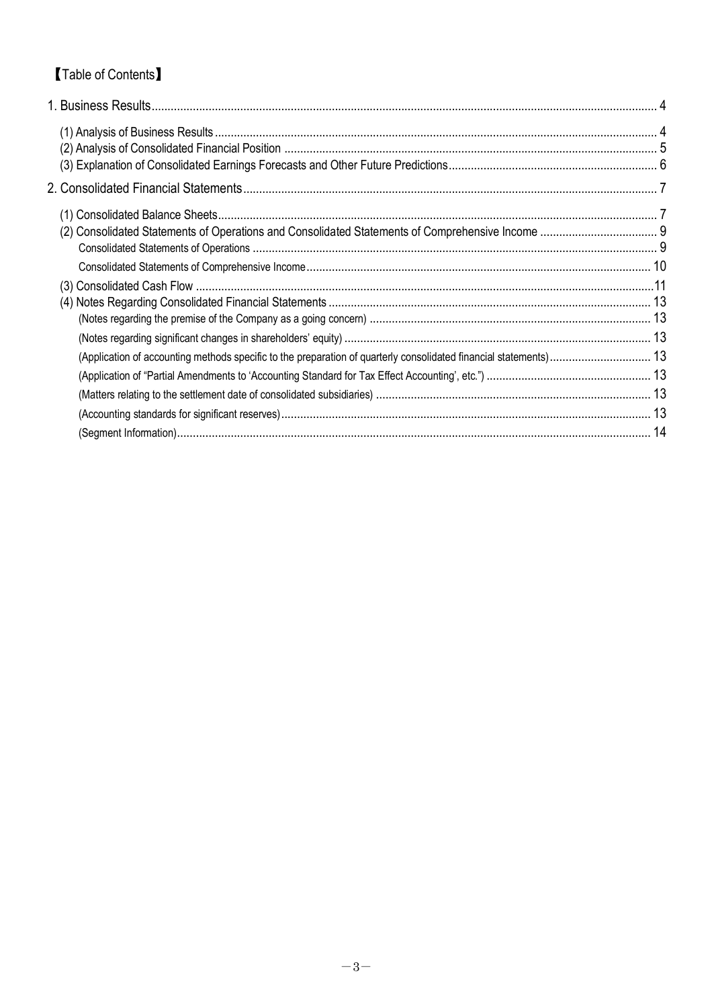# 【Table of Contents】

| (Application of accounting methods specific to the preparation of quarterly consolidated financial statements) 13 |  |
|-------------------------------------------------------------------------------------------------------------------|--|
|                                                                                                                   |  |
|                                                                                                                   |  |
|                                                                                                                   |  |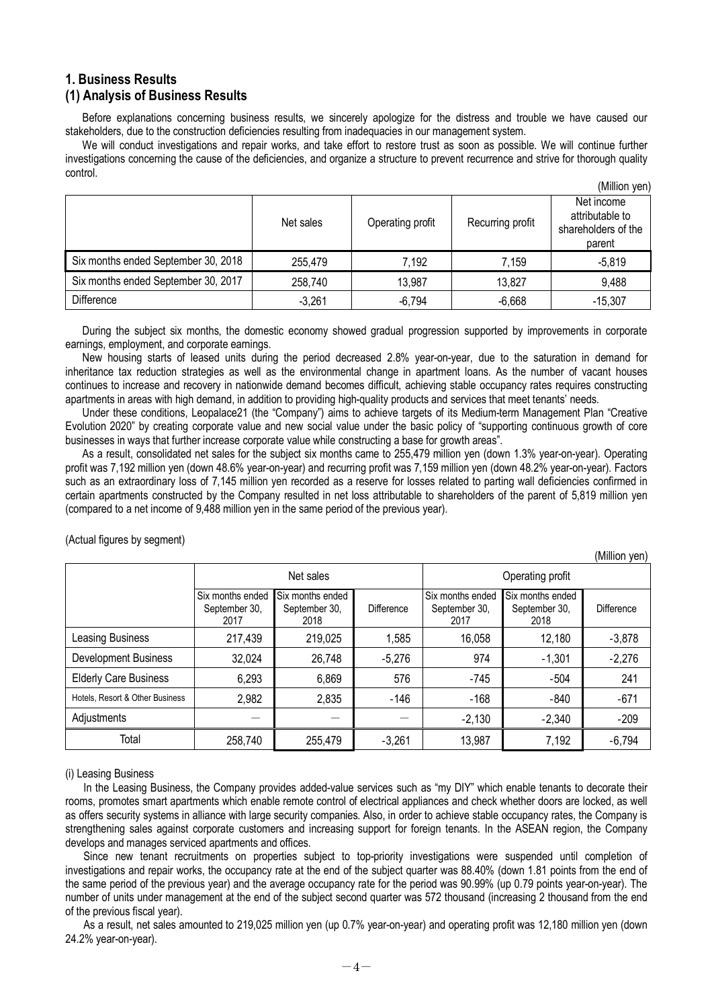## **1. Business Results (1) Analysis of Business Results**

Before explanations concerning business results, we sincerely apologize for the distress and trouble we have caused our stakeholders, due to the construction deficiencies resulting from inadequacies in our management system.

We will conduct investigations and repair works, and take effort to restore trust as soon as possible. We will continue further investigations concerning the cause of the deficiencies, and organize a structure to prevent recurrence and strive for thorough quality control.

|                                     |           |                  |                  | (Million yen)                                                  |
|-------------------------------------|-----------|------------------|------------------|----------------------------------------------------------------|
|                                     | Net sales | Operating profit | Recurring profit | Net income<br>attributable to<br>shareholders of the<br>parent |
| Six months ended September 30, 2018 | 255,479   | 7,192            | 7,159            | $-5.819$                                                       |
| Six months ended September 30, 2017 | 258,740   | 13,987           | 13,827           | 9,488                                                          |
| <b>Difference</b>                   | $-3,261$  | $-6,794$         | $-6,668$         | $-15,307$                                                      |

During the subject six months, the domestic economy showed gradual progression supported by improvements in corporate earnings, employment, and corporate earnings.

New housing starts of leased units during the period decreased 2.8% year-on-year, due to the saturation in demand for inheritance tax reduction strategies as well as the environmental change in apartment loans. As the number of vacant houses continues to increase and recovery in nationwide demand becomes difficult, achieving stable occupancy rates requires constructing apartments in areas with high demand, in addition to providing high-quality products and services that meet tenants' needs.

Under these conditions, Leopalace21 (the "Company") aims to achieve targets of its Medium-term Management Plan "Creative Evolution 2020" by creating corporate value and new social value under the basic policy of "supporting continuous growth of core businesses in ways that further increase corporate value while constructing a base for growth areas".

As a result, consolidated net sales for the subject six months came to 255,479 million yen (down 1.3% year-on-year). Operating profit was 7,192 million yen (down 48.6% year-on-year) and recurring profit was 7,159 million yen (down 48.2% year-on-year). Factors such as an extraordinary loss of 7,145 million yen recorded as a reserve for losses related to parting wall deficiencies confirmed in certain apartments constructed by the Company resulted in net loss attributable to shareholders of the parent of 5,819 million yen (compared to a net income of 9,488 million yen in the same period of the previous year).

 $(M)$ llion  $(2n)$ 

|                                 |                                           |                                           |                   |                                           |                                           | (IVIIIIION VEN)   |  |
|---------------------------------|-------------------------------------------|-------------------------------------------|-------------------|-------------------------------------------|-------------------------------------------|-------------------|--|
|                                 | Net sales                                 |                                           |                   | Operating profit                          |                                           |                   |  |
|                                 | Six months ended<br>September 30,<br>2017 | Six months ended<br>September 30,<br>2018 | <b>Difference</b> | Six months ended<br>September 30,<br>2017 | Six months ended<br>September 30,<br>2018 | <b>Difference</b> |  |
| Leasing Business                | 217,439                                   | 219,025                                   | 1,585             | 16,058                                    | 12,180                                    | $-3,878$          |  |
| <b>Development Business</b>     | 32,024                                    | 26,748                                    | $-5,276$          | 974                                       | $-1,301$                                  | $-2,276$          |  |
| <b>Elderly Care Business</b>    | 6,293                                     | 6,869                                     | 576               | -745                                      | -504                                      | 241               |  |
| Hotels. Resort & Other Business | 2,982                                     | 2,835                                     | $-146$            | $-168$                                    | $-840$                                    | $-671$            |  |
| Adjustments                     |                                           |                                           |                   | $-2,130$                                  | $-2,340$                                  | $-209$            |  |
| Total                           | 258,740                                   | 255,479                                   | $-3,261$          | 13,987                                    | 7,192                                     | $-6,794$          |  |

(Actual figures by segment)

(i) Leasing Business

In the Leasing Business, the Company provides added-value services such as "my DIY" which enable tenants to decorate their rooms, promotes smart apartments which enable remote control of electrical appliances and check whether doors are locked, as well as offers security systems in alliance with large security companies. Also, in order to achieve stable occupancy rates, the Company is strengthening sales against corporate customers and increasing support for foreign tenants. In the ASEAN region, the Company develops and manages serviced apartments and offices.

Since new tenant recruitments on properties subject to top-priority investigations were suspended until completion of investigations and repair works, the occupancy rate at the end of the subject quarter was 88.40% (down 1.81 points from the end of the same period of the previous year) and the average occupancy rate for the period was 90.99% (up 0.79 points year-on-year). The number of units under management at the end of the subject second quarter was 572 thousand (increasing 2 thousand from the end of the previous fiscal year).

As a result, net sales amounted to 219,025 million yen (up 0.7% year-on-year) and operating profit was 12,180 million yen (down 24.2% year-on-year).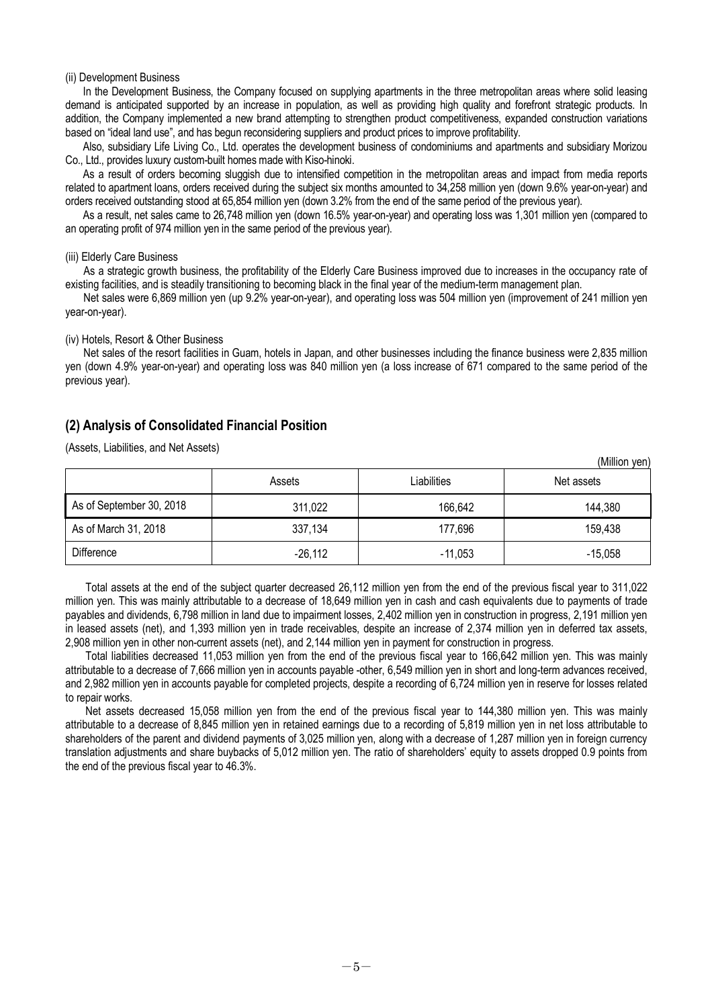#### (ii) Development Business

In the Development Business, the Company focused on supplying apartments in the three metropolitan areas where solid leasing demand is anticipated supported by an increase in population, as well as providing high quality and forefront strategic products. In addition, the Company implemented a new brand attempting to strengthen product competitiveness, expanded construction variations based on "ideal land use", and has begun reconsidering suppliers and product prices to improve profitability.

Also, subsidiary Life Living Co., Ltd. operates the development business of condominiums and apartments and subsidiary Morizou Co., Ltd., provides luxury custom-built homes made with Kiso-hinoki.

As a result of orders becoming sluggish due to intensified competition in the metropolitan areas and impact from media reports related to apartment loans, orders received during the subject six months amounted to 34,258 million yen (down 9.6% year-on-year) and orders received outstanding stood at 65,854 million yen (down 3.2% from the end of the same period of the previous year).

As a result, net sales came to 26,748 million yen (down 16.5% year-on-year) and operating loss was 1,301 million yen (compared to an operating profit of 974 million yen in the same period of the previous year).

#### (iii) Elderly Care Business

As a strategic growth business, the profitability of the Elderly Care Business improved due to increases in the occupancy rate of existing facilities, and is steadily transitioning to becoming black in the final year of the medium-term management plan.

Net sales were 6,869 million yen (up 9.2% year-on-year), and operating loss was 504 million yen (improvement of 241 million yen year-on-year).

#### (iv) Hotels, Resort & Other Business

Net sales of the resort facilities in Guam, hotels in Japan, and other businesses including the finance business were 2,835 million yen (down 4.9% year-on-year) and operating loss was 840 million yen (a loss increase of 671 compared to the same period of the previous year).

### **(2) Analysis of Consolidated Financial Position**

(Assets, Liabilities, and Net Assets)

|                          |           |             | (Million yen) |
|--------------------------|-----------|-------------|---------------|
|                          | Assets    | Liabilities | Net assets    |
| As of September 30, 2018 | 311,022   | 166,642     | 144,380       |
| As of March 31, 2018     | 337,134   | 177,696     | 159,438       |
| <b>Difference</b>        | $-26,112$ | $-11,053$   | $-15,058$     |

Total assets at the end of the subject quarter decreased 26,112 million yen from the end of the previous fiscal year to 311,022 million yen. This was mainly attributable to a decrease of 18,649 million yen in cash and cash equivalents due to payments of trade payables and dividends, 6,798 million in land due to impairment losses, 2,402 million yen in construction in progress, 2,191 million yen in leased assets (net), and 1,393 million yen in trade receivables, despite an increase of 2,374 million yen in deferred tax assets, 2,908 million yen in other non-current assets (net), and 2,144 million yen in payment for construction in progress.

Total liabilities decreased 11,053 million yen from the end of the previous fiscal year to 166,642 million yen. This was mainly attributable to a decrease of 7,666 million yen in accounts payable -other, 6,549 million yen in short and long-term advances received, and 2,982 million yen in accounts payable for completed projects, despite a recording of 6,724 million yen in reserve for losses related to repair works.

Net assets decreased 15,058 million yen from the end of the previous fiscal year to 144,380 million yen. This was mainly attributable to a decrease of 8,845 million yen in retained earnings due to a recording of 5,819 million yen in net loss attributable to shareholders of the parent and dividend payments of 3,025 million yen, along with a decrease of 1,287 million yen in foreign currency translation adjustments and share buybacks of 5,012 million yen. The ratio of shareholders' equity to assets dropped 0.9 points from the end of the previous fiscal year to 46.3%.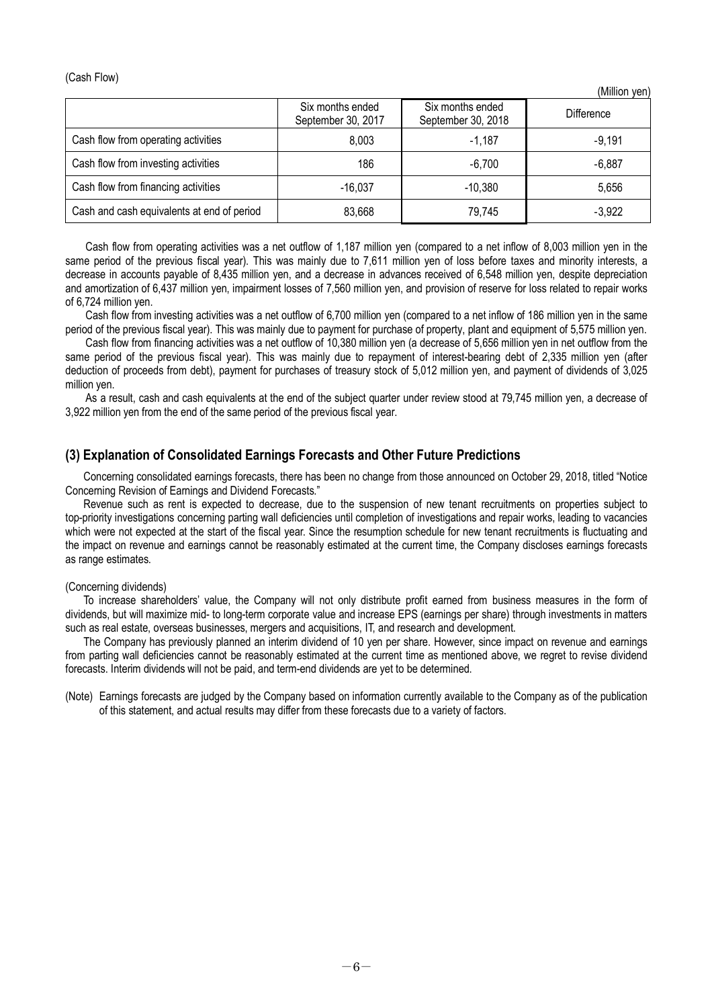### (Cash Flow)

|                                            |                                        |                                        | ן ויסץ ווטווווטון |
|--------------------------------------------|----------------------------------------|----------------------------------------|-------------------|
|                                            | Six months ended<br>September 30, 2017 | Six months ended<br>September 30, 2018 | <b>Difference</b> |
| Cash flow from operating activities        | 8,003                                  | $-1,187$                               | $-9,191$          |
| Cash flow from investing activities        | 186                                    | $-6,700$                               | -6.887            |
| Cash flow from financing activities        | $-16.037$                              | $-10,380$                              | 5,656             |
| Cash and cash equivalents at end of period | 83,668                                 | 79,745                                 | $-3,922$          |

 $(Million you$ 

Cash flow from operating activities was a net outflow of 1,187 million yen (compared to a net inflow of 8,003 million yen in the same period of the previous fiscal year). This was mainly due to 7,611 million yen of loss before taxes and minority interests, a decrease in accounts payable of 8,435 million yen, and a decrease in advances received of 6,548 million yen, despite depreciation and amortization of 6,437 million yen, impairment losses of 7,560 million yen, and provision of reserve for loss related to repair works of 6,724 million yen.

Cash flow from investing activities was a net outflow of 6,700 million yen (compared to a net inflow of 186 million yen in the same period of the previous fiscal year). This was mainly due to payment for purchase of property, plant and equipment of 5,575 million yen.

Cash flow from financing activities was a net outflow of 10,380 million yen (a decrease of 5,656 million yen in net outflow from the same period of the previous fiscal year). This was mainly due to repayment of interest-bearing debt of 2,335 million yen (after deduction of proceeds from debt), payment for purchases of treasury stock of 5,012 million yen, and payment of dividends of 3,025 million yen.

As a result, cash and cash equivalents at the end of the subject quarter under review stood at 79,745 million yen, a decrease of 3,922 million yen from the end of the same period of the previous fiscal year.

### **(3) Explanation of Consolidated Earnings Forecasts and Other Future Predictions**

Concerning consolidated earnings forecasts, there has been no change from those announced on October 29, 2018, titled "Notice Concerning Revision of Earnings and Dividend Forecasts."

Revenue such as rent is expected to decrease, due to the suspension of new tenant recruitments on properties subject to top-priority investigations concerning parting wall deficiencies until completion of investigations and repair works, leading to vacancies which were not expected at the start of the fiscal year. Since the resumption schedule for new tenant recruitments is fluctuating and the impact on revenue and earnings cannot be reasonably estimated at the current time, the Company discloses earnings forecasts as range estimates.

#### (Concerning dividends)

To increase shareholders' value, the Company will not only distribute profit earned from business measures in the form of dividends, but will maximize mid- to long-term corporate value and increase EPS (earnings per share) through investments in matters such as real estate, overseas businesses, mergers and acquisitions, IT, and research and development.

The Company has previously planned an interim dividend of 10 yen per share. However, since impact on revenue and earnings from parting wall deficiencies cannot be reasonably estimated at the current time as mentioned above, we regret to revise dividend forecasts. Interim dividends will not be paid, and term-end dividends are yet to be determined.

(Note) Earnings forecasts are judged by the Company based on information currently available to the Company as of the publication of this statement, and actual results may differ from these forecasts due to a variety of factors.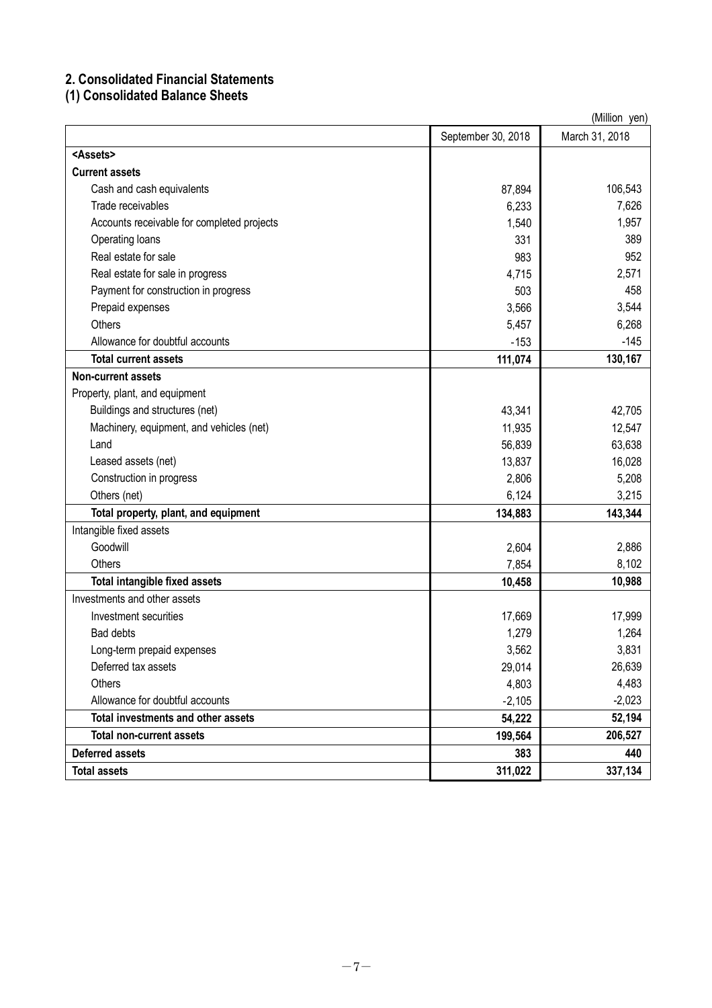# **2. Consolidated Financial Statements**

# **(1) Consolidated Balance Sheets**

| (Million yen)                              |                    |                |  |  |
|--------------------------------------------|--------------------|----------------|--|--|
|                                            | September 30, 2018 | March 31, 2018 |  |  |
| <assets></assets>                          |                    |                |  |  |
| <b>Current assets</b>                      |                    |                |  |  |
| Cash and cash equivalents                  | 87,894             | 106,543        |  |  |
| Trade receivables                          | 6,233              | 7,626          |  |  |
| Accounts receivable for completed projects | 1,540              | 1,957          |  |  |
| Operating loans                            | 331                | 389            |  |  |
| Real estate for sale                       | 983                | 952            |  |  |
| Real estate for sale in progress           | 4,715              | 2,571          |  |  |
| Payment for construction in progress       | 503                | 458            |  |  |
| Prepaid expenses                           | 3,566              | 3,544          |  |  |
| <b>Others</b>                              | 5,457              | 6,268          |  |  |
| Allowance for doubtful accounts            | $-153$             | $-145$         |  |  |
| <b>Total current assets</b>                | 111,074            | 130,167        |  |  |
| <b>Non-current assets</b>                  |                    |                |  |  |
| Property, plant, and equipment             |                    |                |  |  |
| Buildings and structures (net)             | 43,341             | 42,705         |  |  |
| Machinery, equipment, and vehicles (net)   | 11,935             | 12,547         |  |  |
| Land                                       | 56,839             | 63,638         |  |  |
| Leased assets (net)                        | 13,837             | 16,028         |  |  |
| Construction in progress                   | 2,806              | 5,208          |  |  |
| Others (net)                               | 6,124              | 3,215          |  |  |
| Total property, plant, and equipment       | 134,883            | 143,344        |  |  |
| Intangible fixed assets                    |                    |                |  |  |
| Goodwill                                   | 2,604              | 2,886          |  |  |
| <b>Others</b>                              | 7,854              | 8,102          |  |  |
| Total intangible fixed assets              | 10,458             | 10,988         |  |  |
| Investments and other assets               |                    |                |  |  |
| Investment securities                      | 17,669             | 17,999         |  |  |
| <b>Bad debts</b>                           | 1,279              | 1,264          |  |  |
| Long-term prepaid expenses                 | 3,562              | 3,831          |  |  |
| Deferred tax assets                        | 29,014             | 26,639         |  |  |
| Others                                     | 4,803              | 4,483          |  |  |
| Allowance for doubtful accounts            | $-2,105$           | $-2,023$       |  |  |
| Total investments and other assets         | 54,222             | 52,194         |  |  |
| <b>Total non-current assets</b>            | 199,564            | 206,527        |  |  |
| <b>Deferred assets</b>                     | 383                | 440            |  |  |
| <b>Total assets</b>                        | 311,022            | 337,134        |  |  |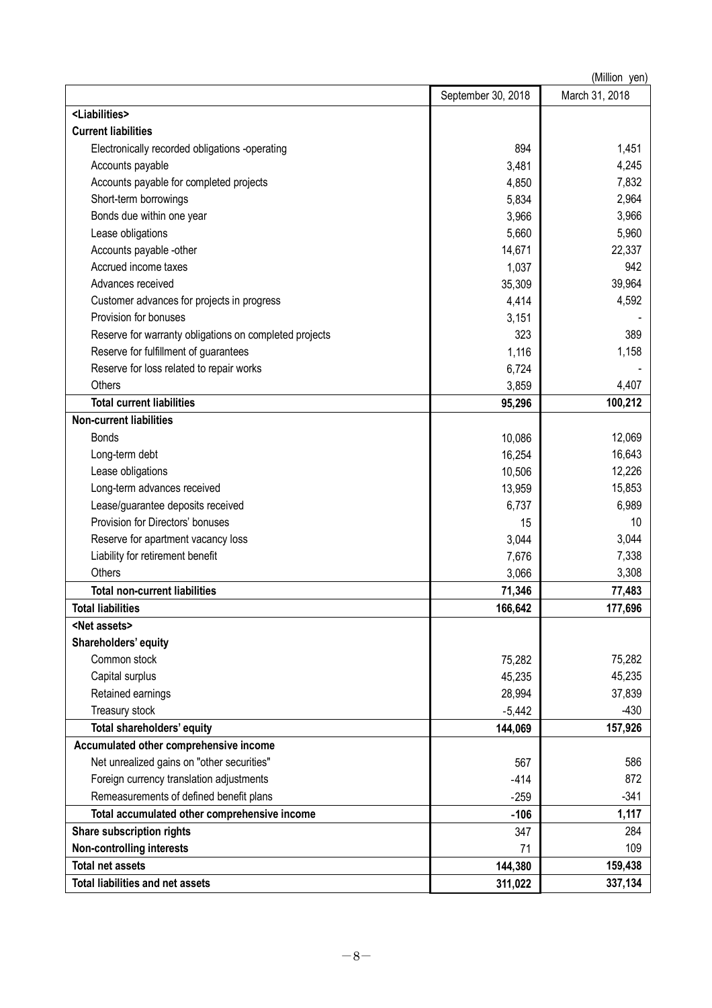| (Million yen)                                               |                    |                |  |  |  |
|-------------------------------------------------------------|--------------------|----------------|--|--|--|
|                                                             | September 30, 2018 | March 31, 2018 |  |  |  |
| <liabilities></liabilities>                                 |                    |                |  |  |  |
| <b>Current liabilities</b>                                  |                    |                |  |  |  |
| Electronically recorded obligations -operating              | 894                | 1,451          |  |  |  |
| Accounts payable                                            | 3,481              | 4,245          |  |  |  |
| Accounts payable for completed projects                     | 4,850              | 7,832          |  |  |  |
| Short-term borrowings                                       | 5,834              | 2,964          |  |  |  |
| Bonds due within one year                                   | 3,966              | 3,966          |  |  |  |
| Lease obligations                                           | 5,660              | 5,960          |  |  |  |
| Accounts payable -other                                     | 14,671             | 22,337         |  |  |  |
| Accrued income taxes                                        | 1,037              | 942            |  |  |  |
| Advances received                                           | 35,309             | 39,964         |  |  |  |
| Customer advances for projects in progress                  | 4,414              | 4,592          |  |  |  |
| Provision for bonuses                                       | 3,151              |                |  |  |  |
| Reserve for warranty obligations on completed projects      | 323                | 389            |  |  |  |
| Reserve for fulfillment of guarantees                       | 1,116              | 1,158          |  |  |  |
| Reserve for loss related to repair works                    | 6,724              |                |  |  |  |
| Others                                                      | 3,859              | 4,407          |  |  |  |
| <b>Total current liabilities</b>                            | 95,296             | 100,212        |  |  |  |
| <b>Non-current liabilities</b>                              |                    |                |  |  |  |
| <b>Bonds</b>                                                | 10,086             | 12,069         |  |  |  |
| Long-term debt                                              | 16,254             | 16,643         |  |  |  |
| Lease obligations                                           | 10,506             | 12,226         |  |  |  |
| Long-term advances received                                 | 13,959             | 15,853         |  |  |  |
| Lease/guarantee deposits received                           | 6,737              | 6,989          |  |  |  |
| Provision for Directors' bonuses                            | 15                 | 10             |  |  |  |
| Reserve for apartment vacancy loss                          | 3,044              | 3,044          |  |  |  |
| Liability for retirement benefit                            | 7,676              | 7,338          |  |  |  |
| Others                                                      | 3,066              | 3,308          |  |  |  |
| <b>Total non-current liabilities</b>                        | 71,346             | 77,483         |  |  |  |
| <b>Total liabilities</b>                                    | 166,642            | 177,696        |  |  |  |
| <net assets=""></net>                                       |                    |                |  |  |  |
| Shareholders' equity                                        |                    |                |  |  |  |
| Common stock                                                | 75,282             | 75,282         |  |  |  |
| Capital surplus                                             | 45,235             | 45,235         |  |  |  |
| Retained earnings                                           | 28,994             | 37,839         |  |  |  |
| Treasury stock                                              | $-5,442$           | $-430$         |  |  |  |
| Total shareholders' equity                                  | 144,069            | 157,926        |  |  |  |
| Accumulated other comprehensive income                      |                    |                |  |  |  |
| Net unrealized gains on "other securities"                  | 567                | 586            |  |  |  |
| Foreign currency translation adjustments                    | $-414$             | 872            |  |  |  |
| Remeasurements of defined benefit plans                     | $-259$             | $-341$         |  |  |  |
| Total accumulated other comprehensive income                | $-106$             | 1,117          |  |  |  |
| Share subscription rights                                   | 347                | 284            |  |  |  |
| <b>Non-controlling interests</b><br><b>Total net assets</b> | 71                 | 109            |  |  |  |
|                                                             | 144,380            | 159,438        |  |  |  |
| Total liabilities and net assets                            | 311,022            | 337,134        |  |  |  |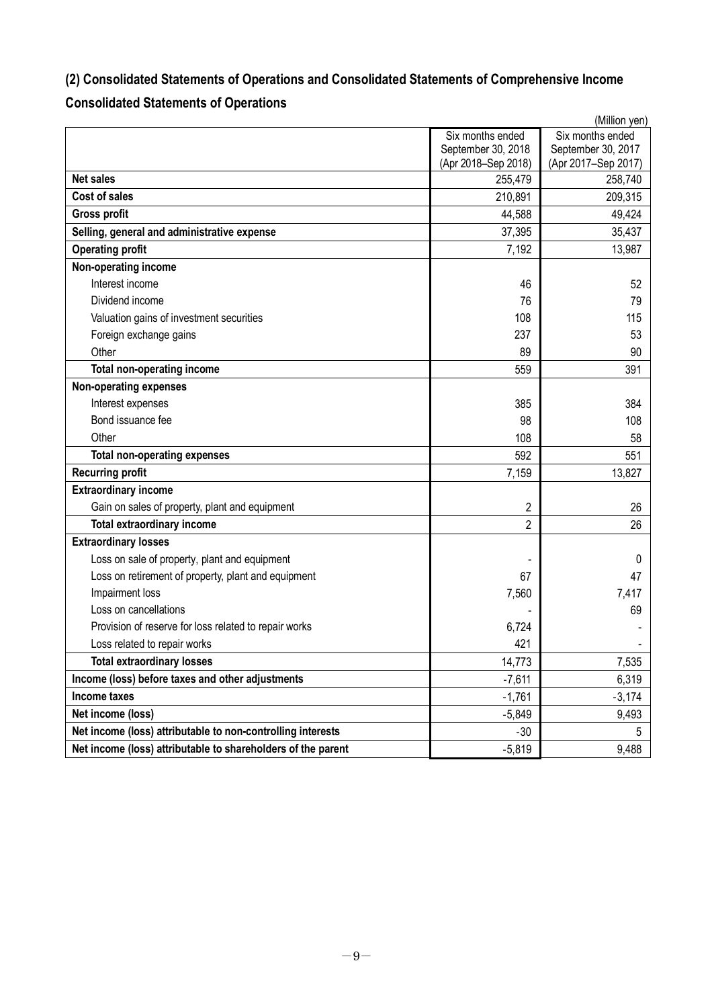# **(2) Consolidated Statements of Operations and Consolidated Statements of Comprehensive Income**

# **Consolidated Statements of Operations**

|                                                              | (Million yen)       |                     |  |  |
|--------------------------------------------------------------|---------------------|---------------------|--|--|
|                                                              | Six months ended    | Six months ended    |  |  |
|                                                              | September 30, 2018  | September 30, 2017  |  |  |
| <b>Net sales</b>                                             | (Apr 2018-Sep 2018) | (Apr 2017-Sep 2017) |  |  |
|                                                              | 255,479             | 258,740             |  |  |
| <b>Cost of sales</b>                                         | 210,891             | 209,315             |  |  |
| <b>Gross profit</b>                                          | 44,588              | 49,424              |  |  |
| Selling, general and administrative expense                  | 37,395              | 35,437              |  |  |
| <b>Operating profit</b>                                      | 7,192               | 13,987              |  |  |
| Non-operating income                                         |                     |                     |  |  |
| Interest income                                              | 46                  | 52                  |  |  |
| Dividend income                                              | 76                  | 79                  |  |  |
| Valuation gains of investment securities                     | 108                 | 115                 |  |  |
| Foreign exchange gains                                       | 237                 | 53                  |  |  |
| Other                                                        | 89                  | 90                  |  |  |
| <b>Total non-operating income</b>                            | 559                 | 391                 |  |  |
| <b>Non-operating expenses</b>                                |                     |                     |  |  |
| Interest expenses                                            | 385                 | 384                 |  |  |
| Bond issuance fee                                            | 98                  | 108                 |  |  |
| Other                                                        | 108                 | 58                  |  |  |
| <b>Total non-operating expenses</b>                          | 592                 | 551                 |  |  |
| <b>Recurring profit</b>                                      | 7,159               | 13,827              |  |  |
| <b>Extraordinary income</b>                                  |                     |                     |  |  |
| Gain on sales of property, plant and equipment               | 2                   | 26                  |  |  |
| <b>Total extraordinary income</b>                            | $\overline{2}$      | 26                  |  |  |
| <b>Extraordinary losses</b>                                  |                     |                     |  |  |
| Loss on sale of property, plant and equipment                |                     | 0                   |  |  |
| Loss on retirement of property, plant and equipment          | 67                  | 47                  |  |  |
| Impairment loss                                              | 7,560               | 7,417               |  |  |
| Loss on cancellations                                        |                     | 69                  |  |  |
| Provision of reserve for loss related to repair works        | 6,724               |                     |  |  |
| Loss related to repair works                                 | 421                 |                     |  |  |
| <b>Total extraordinary losses</b>                            | 14,773              | 7,535               |  |  |
| Income (loss) before taxes and other adjustments             | $-7,611$            | 6,319               |  |  |
| Income taxes                                                 | $-1,761$            | $-3,174$            |  |  |
| Net income (loss)                                            | $-5,849$            | 9,493               |  |  |
| Net income (loss) attributable to non-controlling interests  | $-30$               | 5                   |  |  |
| Net income (loss) attributable to shareholders of the parent | $-5,819$            | 9,488               |  |  |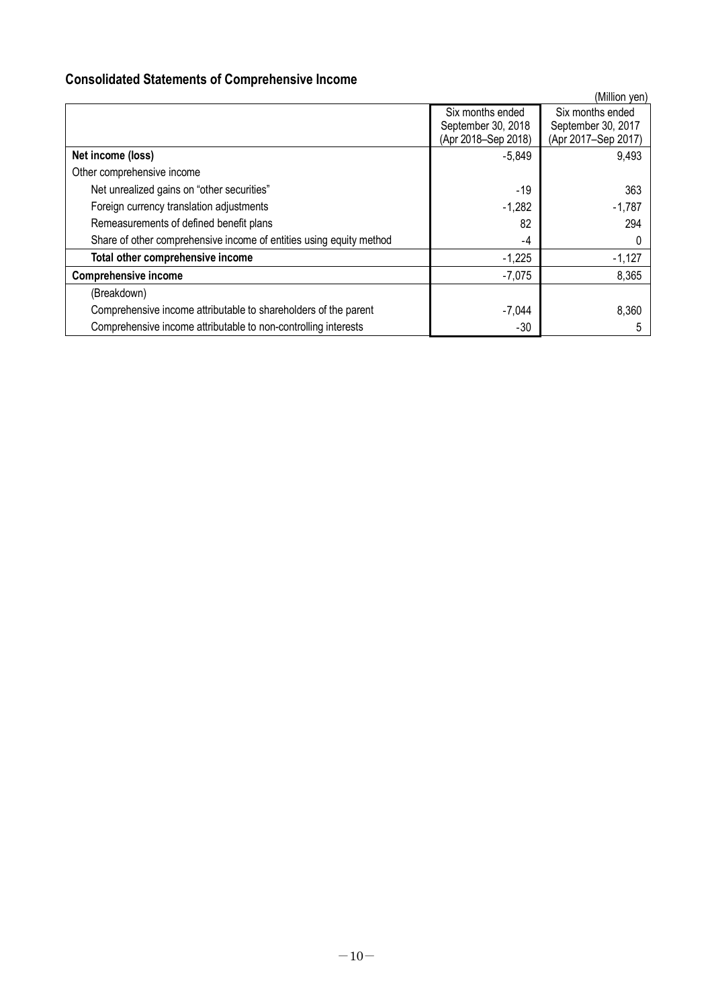# **Consolidated Statements of Comprehensive Income**

|                                                                     |                                                               | (Million yen)                                                 |
|---------------------------------------------------------------------|---------------------------------------------------------------|---------------------------------------------------------------|
|                                                                     | Six months ended<br>September 30, 2018<br>(Apr 2018-Sep 2018) | Six months ended<br>September 30, 2017<br>(Apr 2017-Sep 2017) |
| Net income (loss)                                                   | $-5,849$                                                      | 9,493                                                         |
| Other comprehensive income                                          |                                                               |                                                               |
| Net unrealized gains on "other securities"                          | $-19$                                                         | 363                                                           |
| Foreign currency translation adjustments                            | $-1,282$                                                      | $-1,787$                                                      |
| Remeasurements of defined benefit plans                             | 82                                                            | 294                                                           |
| Share of other comprehensive income of entities using equity method | -4                                                            |                                                               |
| Total other comprehensive income                                    | $-1,225$                                                      | $-1,127$                                                      |
| <b>Comprehensive income</b>                                         | $-7,075$                                                      | 8,365                                                         |
| (Breakdown)                                                         |                                                               |                                                               |
| Comprehensive income attributable to shareholders of the parent     | $-7,044$                                                      | 8,360                                                         |
| Comprehensive income attributable to non-controlling interests      | $-30$                                                         |                                                               |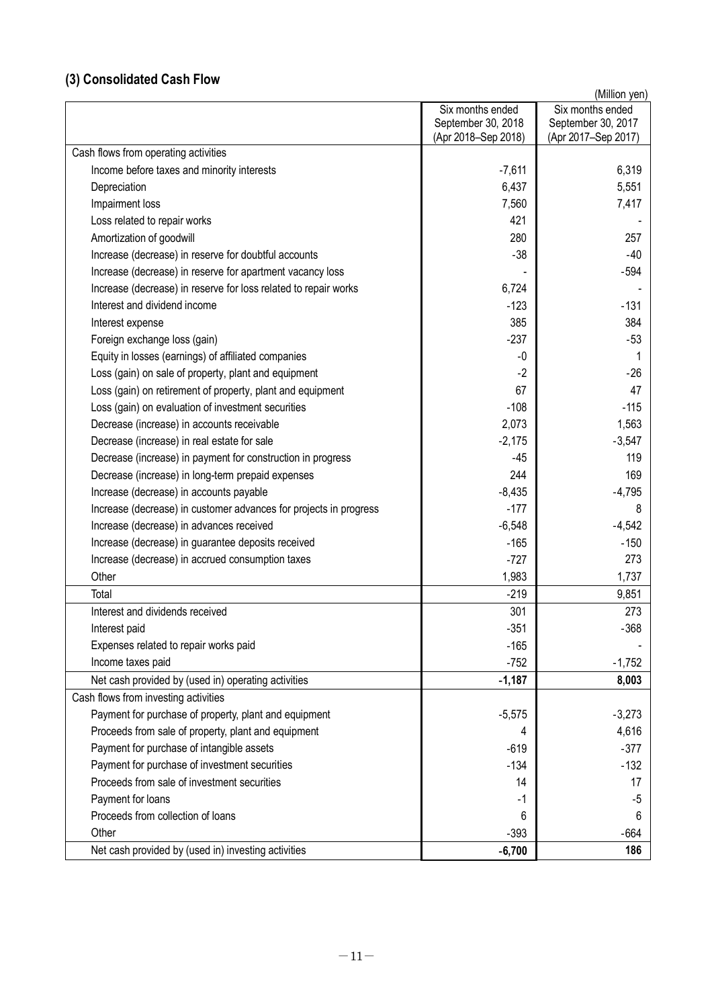# **(3) Consolidated Cash Flow**

| Six months ended<br>Six months ended<br>September 30, 2018<br>September 30, 2017<br>(Apr 2018-Sep 2018)<br>(Apr 2017-Sep 2017)<br>Cash flows from operating activities<br>6,319<br>Income before taxes and minority interests<br>$-7,611$<br>6,437<br>5,551<br>Depreciation<br>Impairment loss<br>7,560<br>7,417<br>421<br>Loss related to repair works<br>280<br>257<br>Amortization of goodwill<br>$-38$<br>$-40$<br>Increase (decrease) in reserve for doubtful accounts<br>$-594$<br>Increase (decrease) in reserve for apartment vacancy loss<br>Increase (decrease) in reserve for loss related to repair works<br>6,724<br>Interest and dividend income<br>$-131$<br>$-123$<br>385<br>384<br>Interest expense<br>$-237$<br>Foreign exchange loss (gain)<br>$-53$<br>$-0$<br>Equity in losses (earnings) of affiliated companies<br>1<br>$-2$<br>$-26$<br>Loss (gain) on sale of property, plant and equipment<br>47<br>67<br>Loss (gain) on retirement of property, plant and equipment<br>$-108$<br>Loss (gain) on evaluation of investment securities<br>$-115$<br>2,073<br>1,563<br>Decrease (increase) in accounts receivable<br>Decrease (increase) in real estate for sale<br>$-2,175$<br>$-3,547$<br>$-45$<br>119<br>Decrease (increase) in payment for construction in progress<br>244<br>Decrease (increase) in long-term prepaid expenses<br>169<br>Increase (decrease) in accounts payable<br>$-8,435$<br>$-4,795$<br>$-177$<br>Increase (decrease) in customer advances for projects in progress<br>8<br>Increase (decrease) in advances received<br>$-6,548$<br>$-4,542$<br>Increase (decrease) in guarantee deposits received<br>$-165$<br>$-150$<br>273<br>Increase (decrease) in accrued consumption taxes<br>$-727$<br>Other<br>1,983<br>1,737<br>9,851<br>Total<br>$-219$<br>Interest and dividends received<br>301<br>273<br>Interest paid<br>$-351$<br>$-368$<br>Expenses related to repair works paid<br>$-165$<br>Income taxes paid<br>$-752$<br>$-1,752$<br>Net cash provided by (used in) operating activities<br>$-1,187$<br>8,003<br>Payment for purchase of property, plant and equipment<br>$-3,273$<br>$-5,575$<br>4,616<br>Proceeds from sale of property, plant and equipment<br>4<br>Payment for purchase of intangible assets<br>$-377$<br>$-619$<br>Payment for purchase of investment securities<br>$-134$<br>$-132$<br>Proceeds from sale of investment securities<br>14<br>17<br>Payment for loans<br>$-1$<br>-5<br>Proceeds from collection of loans<br>6<br>6<br>$-393$<br>$-664$<br>Other<br>$-6,700$<br>Net cash provided by (used in) investing activities<br>186 |                                      | (Million yen) |
|--------------------------------------------------------------------------------------------------------------------------------------------------------------------------------------------------------------------------------------------------------------------------------------------------------------------------------------------------------------------------------------------------------------------------------------------------------------------------------------------------------------------------------------------------------------------------------------------------------------------------------------------------------------------------------------------------------------------------------------------------------------------------------------------------------------------------------------------------------------------------------------------------------------------------------------------------------------------------------------------------------------------------------------------------------------------------------------------------------------------------------------------------------------------------------------------------------------------------------------------------------------------------------------------------------------------------------------------------------------------------------------------------------------------------------------------------------------------------------------------------------------------------------------------------------------------------------------------------------------------------------------------------------------------------------------------------------------------------------------------------------------------------------------------------------------------------------------------------------------------------------------------------------------------------------------------------------------------------------------------------------------------------------------------------------------------------------------------------------------------------------------------------------------------------------------------------------------------------------------------------------------------------------------------------------------------------------------------------------------------------------------------------------------------------------------------------------------------------------------------------------------------------------------------------------------------------------------------------------------------|--------------------------------------|---------------|
|                                                                                                                                                                                                                                                                                                                                                                                                                                                                                                                                                                                                                                                                                                                                                                                                                                                                                                                                                                                                                                                                                                                                                                                                                                                                                                                                                                                                                                                                                                                                                                                                                                                                                                                                                                                                                                                                                                                                                                                                                                                                                                                                                                                                                                                                                                                                                                                                                                                                                                                                                                                                                    |                                      |               |
|                                                                                                                                                                                                                                                                                                                                                                                                                                                                                                                                                                                                                                                                                                                                                                                                                                                                                                                                                                                                                                                                                                                                                                                                                                                                                                                                                                                                                                                                                                                                                                                                                                                                                                                                                                                                                                                                                                                                                                                                                                                                                                                                                                                                                                                                                                                                                                                                                                                                                                                                                                                                                    |                                      |               |
|                                                                                                                                                                                                                                                                                                                                                                                                                                                                                                                                                                                                                                                                                                                                                                                                                                                                                                                                                                                                                                                                                                                                                                                                                                                                                                                                                                                                                                                                                                                                                                                                                                                                                                                                                                                                                                                                                                                                                                                                                                                                                                                                                                                                                                                                                                                                                                                                                                                                                                                                                                                                                    |                                      |               |
|                                                                                                                                                                                                                                                                                                                                                                                                                                                                                                                                                                                                                                                                                                                                                                                                                                                                                                                                                                                                                                                                                                                                                                                                                                                                                                                                                                                                                                                                                                                                                                                                                                                                                                                                                                                                                                                                                                                                                                                                                                                                                                                                                                                                                                                                                                                                                                                                                                                                                                                                                                                                                    |                                      |               |
|                                                                                                                                                                                                                                                                                                                                                                                                                                                                                                                                                                                                                                                                                                                                                                                                                                                                                                                                                                                                                                                                                                                                                                                                                                                                                                                                                                                                                                                                                                                                                                                                                                                                                                                                                                                                                                                                                                                                                                                                                                                                                                                                                                                                                                                                                                                                                                                                                                                                                                                                                                                                                    |                                      |               |
|                                                                                                                                                                                                                                                                                                                                                                                                                                                                                                                                                                                                                                                                                                                                                                                                                                                                                                                                                                                                                                                                                                                                                                                                                                                                                                                                                                                                                                                                                                                                                                                                                                                                                                                                                                                                                                                                                                                                                                                                                                                                                                                                                                                                                                                                                                                                                                                                                                                                                                                                                                                                                    |                                      |               |
|                                                                                                                                                                                                                                                                                                                                                                                                                                                                                                                                                                                                                                                                                                                                                                                                                                                                                                                                                                                                                                                                                                                                                                                                                                                                                                                                                                                                                                                                                                                                                                                                                                                                                                                                                                                                                                                                                                                                                                                                                                                                                                                                                                                                                                                                                                                                                                                                                                                                                                                                                                                                                    |                                      |               |
|                                                                                                                                                                                                                                                                                                                                                                                                                                                                                                                                                                                                                                                                                                                                                                                                                                                                                                                                                                                                                                                                                                                                                                                                                                                                                                                                                                                                                                                                                                                                                                                                                                                                                                                                                                                                                                                                                                                                                                                                                                                                                                                                                                                                                                                                                                                                                                                                                                                                                                                                                                                                                    |                                      |               |
|                                                                                                                                                                                                                                                                                                                                                                                                                                                                                                                                                                                                                                                                                                                                                                                                                                                                                                                                                                                                                                                                                                                                                                                                                                                                                                                                                                                                                                                                                                                                                                                                                                                                                                                                                                                                                                                                                                                                                                                                                                                                                                                                                                                                                                                                                                                                                                                                                                                                                                                                                                                                                    |                                      |               |
|                                                                                                                                                                                                                                                                                                                                                                                                                                                                                                                                                                                                                                                                                                                                                                                                                                                                                                                                                                                                                                                                                                                                                                                                                                                                                                                                                                                                                                                                                                                                                                                                                                                                                                                                                                                                                                                                                                                                                                                                                                                                                                                                                                                                                                                                                                                                                                                                                                                                                                                                                                                                                    |                                      |               |
|                                                                                                                                                                                                                                                                                                                                                                                                                                                                                                                                                                                                                                                                                                                                                                                                                                                                                                                                                                                                                                                                                                                                                                                                                                                                                                                                                                                                                                                                                                                                                                                                                                                                                                                                                                                                                                                                                                                                                                                                                                                                                                                                                                                                                                                                                                                                                                                                                                                                                                                                                                                                                    |                                      |               |
|                                                                                                                                                                                                                                                                                                                                                                                                                                                                                                                                                                                                                                                                                                                                                                                                                                                                                                                                                                                                                                                                                                                                                                                                                                                                                                                                                                                                                                                                                                                                                                                                                                                                                                                                                                                                                                                                                                                                                                                                                                                                                                                                                                                                                                                                                                                                                                                                                                                                                                                                                                                                                    |                                      |               |
|                                                                                                                                                                                                                                                                                                                                                                                                                                                                                                                                                                                                                                                                                                                                                                                                                                                                                                                                                                                                                                                                                                                                                                                                                                                                                                                                                                                                                                                                                                                                                                                                                                                                                                                                                                                                                                                                                                                                                                                                                                                                                                                                                                                                                                                                                                                                                                                                                                                                                                                                                                                                                    |                                      |               |
|                                                                                                                                                                                                                                                                                                                                                                                                                                                                                                                                                                                                                                                                                                                                                                                                                                                                                                                                                                                                                                                                                                                                                                                                                                                                                                                                                                                                                                                                                                                                                                                                                                                                                                                                                                                                                                                                                                                                                                                                                                                                                                                                                                                                                                                                                                                                                                                                                                                                                                                                                                                                                    |                                      |               |
|                                                                                                                                                                                                                                                                                                                                                                                                                                                                                                                                                                                                                                                                                                                                                                                                                                                                                                                                                                                                                                                                                                                                                                                                                                                                                                                                                                                                                                                                                                                                                                                                                                                                                                                                                                                                                                                                                                                                                                                                                                                                                                                                                                                                                                                                                                                                                                                                                                                                                                                                                                                                                    |                                      |               |
|                                                                                                                                                                                                                                                                                                                                                                                                                                                                                                                                                                                                                                                                                                                                                                                                                                                                                                                                                                                                                                                                                                                                                                                                                                                                                                                                                                                                                                                                                                                                                                                                                                                                                                                                                                                                                                                                                                                                                                                                                                                                                                                                                                                                                                                                                                                                                                                                                                                                                                                                                                                                                    |                                      |               |
|                                                                                                                                                                                                                                                                                                                                                                                                                                                                                                                                                                                                                                                                                                                                                                                                                                                                                                                                                                                                                                                                                                                                                                                                                                                                                                                                                                                                                                                                                                                                                                                                                                                                                                                                                                                                                                                                                                                                                                                                                                                                                                                                                                                                                                                                                                                                                                                                                                                                                                                                                                                                                    |                                      |               |
|                                                                                                                                                                                                                                                                                                                                                                                                                                                                                                                                                                                                                                                                                                                                                                                                                                                                                                                                                                                                                                                                                                                                                                                                                                                                                                                                                                                                                                                                                                                                                                                                                                                                                                                                                                                                                                                                                                                                                                                                                                                                                                                                                                                                                                                                                                                                                                                                                                                                                                                                                                                                                    |                                      |               |
|                                                                                                                                                                                                                                                                                                                                                                                                                                                                                                                                                                                                                                                                                                                                                                                                                                                                                                                                                                                                                                                                                                                                                                                                                                                                                                                                                                                                                                                                                                                                                                                                                                                                                                                                                                                                                                                                                                                                                                                                                                                                                                                                                                                                                                                                                                                                                                                                                                                                                                                                                                                                                    |                                      |               |
|                                                                                                                                                                                                                                                                                                                                                                                                                                                                                                                                                                                                                                                                                                                                                                                                                                                                                                                                                                                                                                                                                                                                                                                                                                                                                                                                                                                                                                                                                                                                                                                                                                                                                                                                                                                                                                                                                                                                                                                                                                                                                                                                                                                                                                                                                                                                                                                                                                                                                                                                                                                                                    |                                      |               |
|                                                                                                                                                                                                                                                                                                                                                                                                                                                                                                                                                                                                                                                                                                                                                                                                                                                                                                                                                                                                                                                                                                                                                                                                                                                                                                                                                                                                                                                                                                                                                                                                                                                                                                                                                                                                                                                                                                                                                                                                                                                                                                                                                                                                                                                                                                                                                                                                                                                                                                                                                                                                                    |                                      |               |
|                                                                                                                                                                                                                                                                                                                                                                                                                                                                                                                                                                                                                                                                                                                                                                                                                                                                                                                                                                                                                                                                                                                                                                                                                                                                                                                                                                                                                                                                                                                                                                                                                                                                                                                                                                                                                                                                                                                                                                                                                                                                                                                                                                                                                                                                                                                                                                                                                                                                                                                                                                                                                    |                                      |               |
|                                                                                                                                                                                                                                                                                                                                                                                                                                                                                                                                                                                                                                                                                                                                                                                                                                                                                                                                                                                                                                                                                                                                                                                                                                                                                                                                                                                                                                                                                                                                                                                                                                                                                                                                                                                                                                                                                                                                                                                                                                                                                                                                                                                                                                                                                                                                                                                                                                                                                                                                                                                                                    |                                      |               |
|                                                                                                                                                                                                                                                                                                                                                                                                                                                                                                                                                                                                                                                                                                                                                                                                                                                                                                                                                                                                                                                                                                                                                                                                                                                                                                                                                                                                                                                                                                                                                                                                                                                                                                                                                                                                                                                                                                                                                                                                                                                                                                                                                                                                                                                                                                                                                                                                                                                                                                                                                                                                                    |                                      |               |
|                                                                                                                                                                                                                                                                                                                                                                                                                                                                                                                                                                                                                                                                                                                                                                                                                                                                                                                                                                                                                                                                                                                                                                                                                                                                                                                                                                                                                                                                                                                                                                                                                                                                                                                                                                                                                                                                                                                                                                                                                                                                                                                                                                                                                                                                                                                                                                                                                                                                                                                                                                                                                    |                                      |               |
|                                                                                                                                                                                                                                                                                                                                                                                                                                                                                                                                                                                                                                                                                                                                                                                                                                                                                                                                                                                                                                                                                                                                                                                                                                                                                                                                                                                                                                                                                                                                                                                                                                                                                                                                                                                                                                                                                                                                                                                                                                                                                                                                                                                                                                                                                                                                                                                                                                                                                                                                                                                                                    |                                      |               |
|                                                                                                                                                                                                                                                                                                                                                                                                                                                                                                                                                                                                                                                                                                                                                                                                                                                                                                                                                                                                                                                                                                                                                                                                                                                                                                                                                                                                                                                                                                                                                                                                                                                                                                                                                                                                                                                                                                                                                                                                                                                                                                                                                                                                                                                                                                                                                                                                                                                                                                                                                                                                                    |                                      |               |
|                                                                                                                                                                                                                                                                                                                                                                                                                                                                                                                                                                                                                                                                                                                                                                                                                                                                                                                                                                                                                                                                                                                                                                                                                                                                                                                                                                                                                                                                                                                                                                                                                                                                                                                                                                                                                                                                                                                                                                                                                                                                                                                                                                                                                                                                                                                                                                                                                                                                                                                                                                                                                    |                                      |               |
|                                                                                                                                                                                                                                                                                                                                                                                                                                                                                                                                                                                                                                                                                                                                                                                                                                                                                                                                                                                                                                                                                                                                                                                                                                                                                                                                                                                                                                                                                                                                                                                                                                                                                                                                                                                                                                                                                                                                                                                                                                                                                                                                                                                                                                                                                                                                                                                                                                                                                                                                                                                                                    |                                      |               |
|                                                                                                                                                                                                                                                                                                                                                                                                                                                                                                                                                                                                                                                                                                                                                                                                                                                                                                                                                                                                                                                                                                                                                                                                                                                                                                                                                                                                                                                                                                                                                                                                                                                                                                                                                                                                                                                                                                                                                                                                                                                                                                                                                                                                                                                                                                                                                                                                                                                                                                                                                                                                                    |                                      |               |
|                                                                                                                                                                                                                                                                                                                                                                                                                                                                                                                                                                                                                                                                                                                                                                                                                                                                                                                                                                                                                                                                                                                                                                                                                                                                                                                                                                                                                                                                                                                                                                                                                                                                                                                                                                                                                                                                                                                                                                                                                                                                                                                                                                                                                                                                                                                                                                                                                                                                                                                                                                                                                    |                                      |               |
|                                                                                                                                                                                                                                                                                                                                                                                                                                                                                                                                                                                                                                                                                                                                                                                                                                                                                                                                                                                                                                                                                                                                                                                                                                                                                                                                                                                                                                                                                                                                                                                                                                                                                                                                                                                                                                                                                                                                                                                                                                                                                                                                                                                                                                                                                                                                                                                                                                                                                                                                                                                                                    |                                      |               |
|                                                                                                                                                                                                                                                                                                                                                                                                                                                                                                                                                                                                                                                                                                                                                                                                                                                                                                                                                                                                                                                                                                                                                                                                                                                                                                                                                                                                                                                                                                                                                                                                                                                                                                                                                                                                                                                                                                                                                                                                                                                                                                                                                                                                                                                                                                                                                                                                                                                                                                                                                                                                                    |                                      |               |
|                                                                                                                                                                                                                                                                                                                                                                                                                                                                                                                                                                                                                                                                                                                                                                                                                                                                                                                                                                                                                                                                                                                                                                                                                                                                                                                                                                                                                                                                                                                                                                                                                                                                                                                                                                                                                                                                                                                                                                                                                                                                                                                                                                                                                                                                                                                                                                                                                                                                                                                                                                                                                    |                                      |               |
|                                                                                                                                                                                                                                                                                                                                                                                                                                                                                                                                                                                                                                                                                                                                                                                                                                                                                                                                                                                                                                                                                                                                                                                                                                                                                                                                                                                                                                                                                                                                                                                                                                                                                                                                                                                                                                                                                                                                                                                                                                                                                                                                                                                                                                                                                                                                                                                                                                                                                                                                                                                                                    | Cash flows from investing activities |               |
|                                                                                                                                                                                                                                                                                                                                                                                                                                                                                                                                                                                                                                                                                                                                                                                                                                                                                                                                                                                                                                                                                                                                                                                                                                                                                                                                                                                                                                                                                                                                                                                                                                                                                                                                                                                                                                                                                                                                                                                                                                                                                                                                                                                                                                                                                                                                                                                                                                                                                                                                                                                                                    |                                      |               |
|                                                                                                                                                                                                                                                                                                                                                                                                                                                                                                                                                                                                                                                                                                                                                                                                                                                                                                                                                                                                                                                                                                                                                                                                                                                                                                                                                                                                                                                                                                                                                                                                                                                                                                                                                                                                                                                                                                                                                                                                                                                                                                                                                                                                                                                                                                                                                                                                                                                                                                                                                                                                                    |                                      |               |
|                                                                                                                                                                                                                                                                                                                                                                                                                                                                                                                                                                                                                                                                                                                                                                                                                                                                                                                                                                                                                                                                                                                                                                                                                                                                                                                                                                                                                                                                                                                                                                                                                                                                                                                                                                                                                                                                                                                                                                                                                                                                                                                                                                                                                                                                                                                                                                                                                                                                                                                                                                                                                    |                                      |               |
|                                                                                                                                                                                                                                                                                                                                                                                                                                                                                                                                                                                                                                                                                                                                                                                                                                                                                                                                                                                                                                                                                                                                                                                                                                                                                                                                                                                                                                                                                                                                                                                                                                                                                                                                                                                                                                                                                                                                                                                                                                                                                                                                                                                                                                                                                                                                                                                                                                                                                                                                                                                                                    |                                      |               |
|                                                                                                                                                                                                                                                                                                                                                                                                                                                                                                                                                                                                                                                                                                                                                                                                                                                                                                                                                                                                                                                                                                                                                                                                                                                                                                                                                                                                                                                                                                                                                                                                                                                                                                                                                                                                                                                                                                                                                                                                                                                                                                                                                                                                                                                                                                                                                                                                                                                                                                                                                                                                                    |                                      |               |
|                                                                                                                                                                                                                                                                                                                                                                                                                                                                                                                                                                                                                                                                                                                                                                                                                                                                                                                                                                                                                                                                                                                                                                                                                                                                                                                                                                                                                                                                                                                                                                                                                                                                                                                                                                                                                                                                                                                                                                                                                                                                                                                                                                                                                                                                                                                                                                                                                                                                                                                                                                                                                    |                                      |               |
|                                                                                                                                                                                                                                                                                                                                                                                                                                                                                                                                                                                                                                                                                                                                                                                                                                                                                                                                                                                                                                                                                                                                                                                                                                                                                                                                                                                                                                                                                                                                                                                                                                                                                                                                                                                                                                                                                                                                                                                                                                                                                                                                                                                                                                                                                                                                                                                                                                                                                                                                                                                                                    |                                      |               |
|                                                                                                                                                                                                                                                                                                                                                                                                                                                                                                                                                                                                                                                                                                                                                                                                                                                                                                                                                                                                                                                                                                                                                                                                                                                                                                                                                                                                                                                                                                                                                                                                                                                                                                                                                                                                                                                                                                                                                                                                                                                                                                                                                                                                                                                                                                                                                                                                                                                                                                                                                                                                                    |                                      |               |
|                                                                                                                                                                                                                                                                                                                                                                                                                                                                                                                                                                                                                                                                                                                                                                                                                                                                                                                                                                                                                                                                                                                                                                                                                                                                                                                                                                                                                                                                                                                                                                                                                                                                                                                                                                                                                                                                                                                                                                                                                                                                                                                                                                                                                                                                                                                                                                                                                                                                                                                                                                                                                    |                                      |               |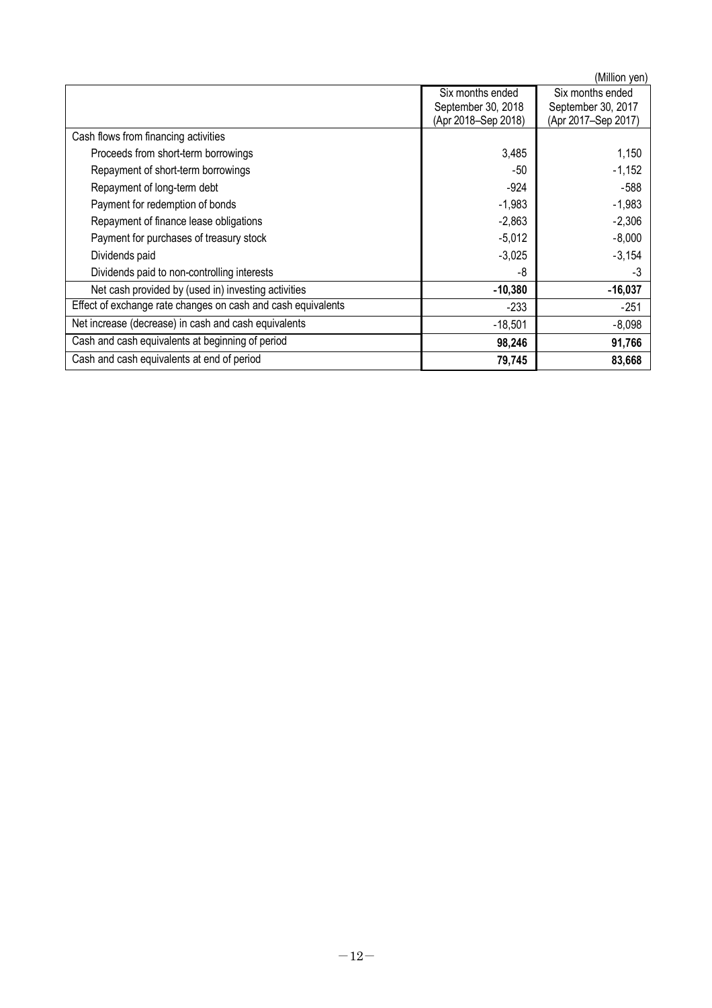(Million yen) Six months ended September 30, 2018 (Apr 2018–Sep 2018) Six months ended September 30, 2017 (Apr 2017–Sep 2017) Cash flows from financing activities Proceeds from short-term borrowings and the state of the state of the state of the state of the state of the state of the state of the state of the state of the state of the state of the state of the state of the state of Repayment of short-term borrowings<br>
Repayment of long-term debt<br>
-588 -924 -924 -588 Repayment of long-term debt -924 -588 Payment for redemption of bonds<br>
Repayment of finance lease obligations<br>
-2.306 -2.306 -2.306 Repayment of finance lease obligations and the control of finance lease obligations of the control of the control of the control of the control of the control of the control of the control of the control of the control of Payment for purchases of treasury stock -5,012 -8,000<br>Dividends paid -3,154 Dividends paid  $-3,025$   $-3,154$ Dividends paid to non-controlling interests<br>
Net cash provided by (used in) investing activities<br>
-16.037 Net cash provided by (used in) investing activities Effect of exchange rate changes on cash and cash equivalents -233 -251 -251 Net increase (decrease) in cash and cash equivalents -18,501 -18,501 -8,098 Cash and cash equivalents at beginning of period **98,246 91,766** Cash and cash equivalents at end of period **79,745 83,668**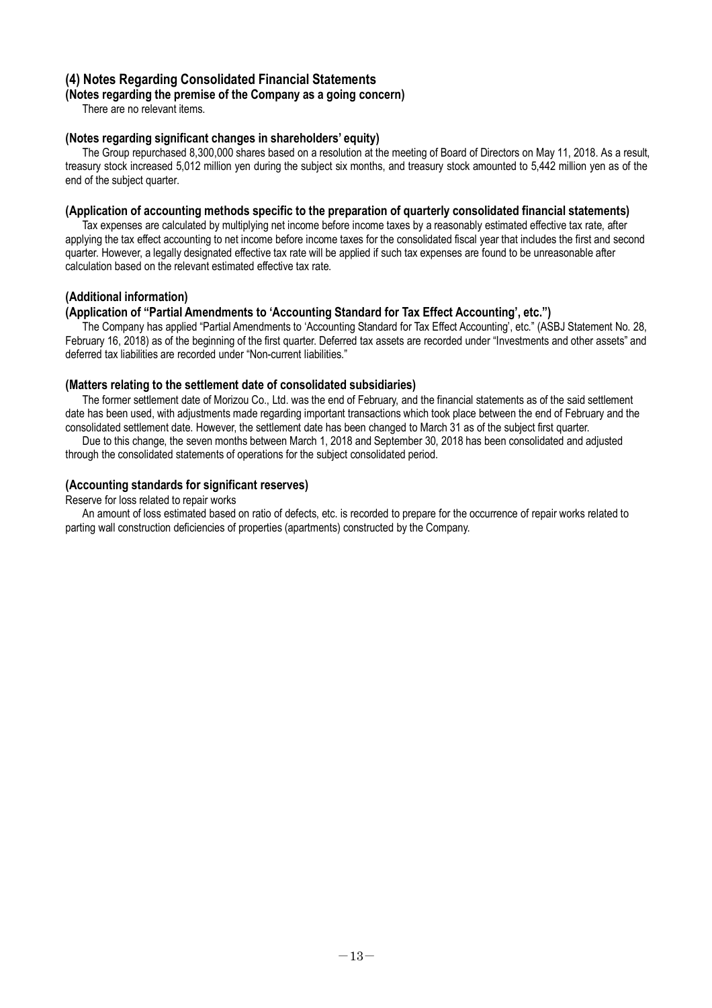## **(4) Notes Regarding Consolidated Financial Statements**

### **(Notes regarding the premise of the Company as a going concern)**

There are no relevant items.

### **(Notes regarding significant changes in shareholders' equity)**

The Group repurchased 8,300,000 shares based on a resolution at the meeting of Board of Directors on May 11, 2018. As a result, treasury stock increased 5,012 million yen during the subject six months, and treasury stock amounted to 5,442 million yen as of the end of the subject quarter.

### **(Application of accounting methods specific to the preparation of quarterly consolidated financial statements)**

Tax expenses are calculated by multiplying net income before income taxes by a reasonably estimated effective tax rate, after applying the tax effect accounting to net income before income taxes for the consolidated fiscal year that includes the first and second quarter. However, a legally designated effective tax rate will be applied if such tax expenses are found to be unreasonable after calculation based on the relevant estimated effective tax rate.

### **(Additional information)**

### **(Application of "Partial Amendments to 'Accounting Standard for Tax Effect Accounting', etc.")**

The Company has applied "Partial Amendments to 'Accounting Standard for Tax Effect Accounting', etc." (ASBJ Statement No. 28, February 16, 2018) as of the beginning of the first quarter. Deferred tax assets are recorded under "Investments and other assets" and deferred tax liabilities are recorded under "Non-current liabilities."

### **(Matters relating to the settlement date of consolidated subsidiaries)**

The former settlement date of Morizou Co., Ltd. was the end of February, and the financial statements as of the said settlement date has been used, with adjustments made regarding important transactions which took place between the end of February and the consolidated settlement date. However, the settlement date has been changed to March 31 as of the subject first quarter.

Due to this change, the seven months between March 1, 2018 and September 30, 2018 has been consolidated and adjusted through the consolidated statements of operations for the subject consolidated period.

### **(Accounting standards for significant reserves)**

Reserve for loss related to repair works

An amount of loss estimated based on ratio of defects, etc. is recorded to prepare for the occurrence of repair works related to parting wall construction deficiencies of properties (apartments) constructed by the Company.